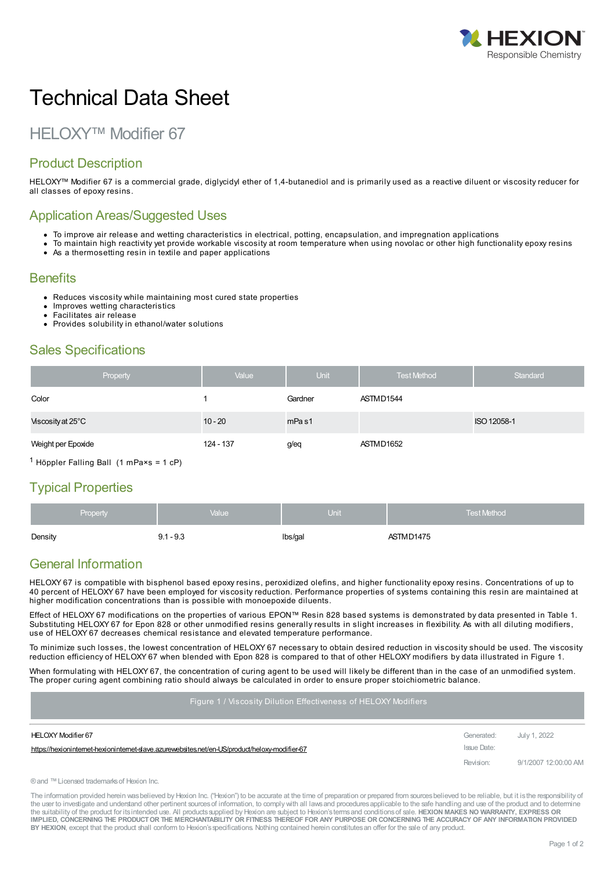

# Technical Data Sheet

## HELOXY™ Modifier 67

### Product Description

HELOXY™ Modifier 67 is a commercial grade, diglycidyl ether of 1,4-butanediol and is primarily used as a reactive diluent or viscosity reducer for all classes of epoxy resins.

#### Application Areas/Suggested Uses

- To improve air release and wetting characteristics in electrical, potting, encapsulation, and impregnation applications
- To maintain high reactivity yet provide workable viscosity at room temperature when using novolac or other high functionality epoxy resins • As a thermosetting resin in textile and paper applications

#### **Benefits**

- Reduces viscosity while maintaining most cured state properties
- Improves wetting characteristics
- Facilitates air release
- Provides solubility in ethanol/water solutions

#### Sales Specifications

| Property           | Value     | <b>Unit</b>       | <b>Test Method</b> | Standard    |
|--------------------|-----------|-------------------|--------------------|-------------|
| Color              |           | Gardner           | ASTMD1544          |             |
| Viscosity at 25°C  | $10 - 20$ | mPa <sub>s1</sub> |                    | ISO 12058-1 |
| Weight per Epoxide | 124 - 137 | g/eq              | ASTMD1652          |             |

 $1$  Höppler Falling Ball (1 mPa×s = 1 cP)

#### Typical Properties

| <b>Property</b> | Value       | $\mathsf{Unit}^!$ | <b>Test Method</b> |
|-----------------|-------------|-------------------|--------------------|
| Density         | $9.1 - 9.3$ | lbs/gal           | ASTMD1475          |

#### General Information

HELOXY 67 is compatible with bisphenol based epoxy resins, peroxidized olefins, and higher functionality epoxy resins. Concentrations of up to 40 percent of HELOXY 67 have been employed for viscosity reduction. Performance properties of systems containing this resin are maintained at higher modification concentrations than is possible with monoepoxide diluents.

Effect of HELOXY 67 modifications on the properties of various EPON™ Resin 828 based systems is demonstrated by data presented in Table 1. Substituting HELOXY 67 for Epon 828 or other unmodified resins generally results in slight increases in flexibility. As with all diluting modifiers, use of HELOXY 67 decreases chemical resistance and elevated temperature performance.

To minimize such losses, the lowest concentration of HELOXY 67 necessary to obtain desired reduction in viscosity should be used. The viscosity reduction efficiency of HELOXY 67 when blended with Epon 828 is compared to that of other HELOXY modifiers by data illustrated in Figure 1.

When formulating with HELOXY 67, the concentration of curing agent to be used will likely be different than in the case of an unmodified system. The proper curing agent combining ratio should always be calculated in order to ensure proper stoichiometric balance.

#### Figure 1 / Viscosity Dilution Effectiveness of HELOXY Modifiers

| HELOXY Modifier 67                                                                            | Generated:  | July 1, 2022         |
|-----------------------------------------------------------------------------------------------|-------------|----------------------|
| https://hexioninternet-hexioninternet-daye.azurewebsites.net/en-US/product/heloxy-modifier-67 | Issue Date: |                      |
|                                                                                               | Revision:   | 9/1/2007 12:00:00 AM |

®and ™Licensed trademarksof Hexion Inc.

The information provided herein was believed by Hexion Inc. ("Hexion") to be accurate at the time of preparation or prepared from sources believed to be reliable, but it is the responsibility of the user to investigate and understand other pertinent sources of information, to comply with all laws and procedures applicable to the safe handling and use of the product and to determine the suitability of the product for itsintended use. All productssupplied by Hexion are subject to Hexion'stermsand conditionsof sale. **HEXION MAKES NO WARRANTY, EXPRESS OR** IMPLIED, CONCERNING THE PRODUCT OR THE MERCHANTABILITY OR FITNESS THEREOF FOR ANY PURPOSE OR CONCERNING THE ACCURACY OF ANY INFORMATION PROVIDED **BY HEXION**, except that the product shall conform to Hexion'sspecifications. Nothing contained herein constitutesan offer for the sale of any product.